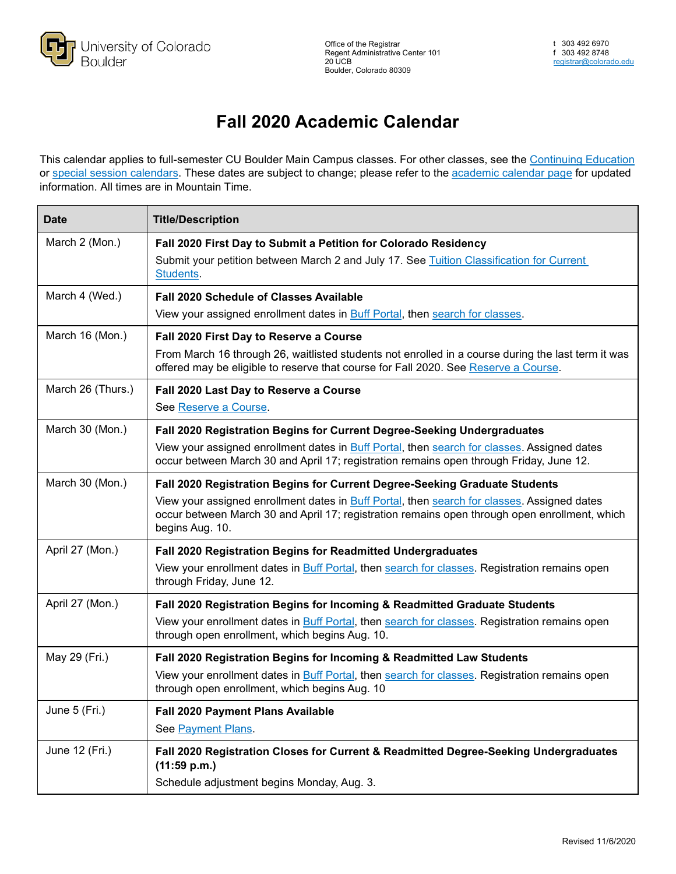

## **Fall 2020 Academic Calendar**

This calendar applies to full-semester CU Boulder Main Campus classes. For other classes, see the [Continuing Education](https://ce.colorado.edu/resources/topics/dates-and-deadlines-general-info/) or [special session calendars.](https://www.colorado.edu/registrar/students/calendar/sessions) These dates are subject to change; please refer to the [academic calendar page](https://www.colorado.edu/registrar/students/calendar) for updated information. All times are in Mountain Time.

| <b>Date</b>       | <b>Title/Description</b>                                                                                                                                                                                                                                                                      |
|-------------------|-----------------------------------------------------------------------------------------------------------------------------------------------------------------------------------------------------------------------------------------------------------------------------------------------|
| March 2 (Mon.)    | Fall 2020 First Day to Submit a Petition for Colorado Residency<br>Submit your petition between March 2 and July 17. See Tuition Classification for Current<br>Students.                                                                                                                      |
| March 4 (Wed.)    | Fall 2020 Schedule of Classes Available<br>View your assigned enrollment dates in Buff Portal, then search for classes.                                                                                                                                                                       |
| March 16 (Mon.)   | Fall 2020 First Day to Reserve a Course<br>From March 16 through 26, waitlisted students not enrolled in a course during the last term it was<br>offered may be eligible to reserve that course for Fall 2020. See Reserve a Course.                                                          |
| March 26 (Thurs.) | Fall 2020 Last Day to Reserve a Course<br>See Reserve a Course.                                                                                                                                                                                                                               |
| March 30 (Mon.)   | Fall 2020 Registration Begins for Current Degree-Seeking Undergraduates<br>View your assigned enrollment dates in Buff Portal, then search for classes. Assigned dates<br>occur between March 30 and April 17; registration remains open through Friday, June 12.                             |
| March 30 (Mon.)   | Fall 2020 Registration Begins for Current Degree-Seeking Graduate Students<br>View your assigned enrollment dates in Buff Portal, then search for classes. Assigned dates<br>occur between March 30 and April 17; registration remains open through open enrollment, which<br>begins Aug. 10. |
| April 27 (Mon.)   | Fall 2020 Registration Begins for Readmitted Undergraduates<br>View your enrollment dates in Buff Portal, then search for classes. Registration remains open<br>through Friday, June 12.                                                                                                      |
| April 27 (Mon.)   | Fall 2020 Registration Begins for Incoming & Readmitted Graduate Students<br>View your enrollment dates in Buff Portal, then search for classes. Registration remains open<br>through open enrollment, which begins Aug. 10.                                                                  |
| May 29 (Fri.)     | Fall 2020 Registration Begins for Incoming & Readmitted Law Students<br>View your enrollment dates in Buff Portal, then search for classes. Registration remains open<br>through open enrollment, which begins Aug. 10                                                                        |
| June 5 (Fri.)     | <b>Fall 2020 Payment Plans Available</b><br>See Payment Plans.                                                                                                                                                                                                                                |
| June 12 (Fri.)    | Fall 2020 Registration Closes for Current & Readmitted Degree-Seeking Undergraduates<br>(11:59 p.m.)<br>Schedule adjustment begins Monday, Aug. 3.                                                                                                                                            |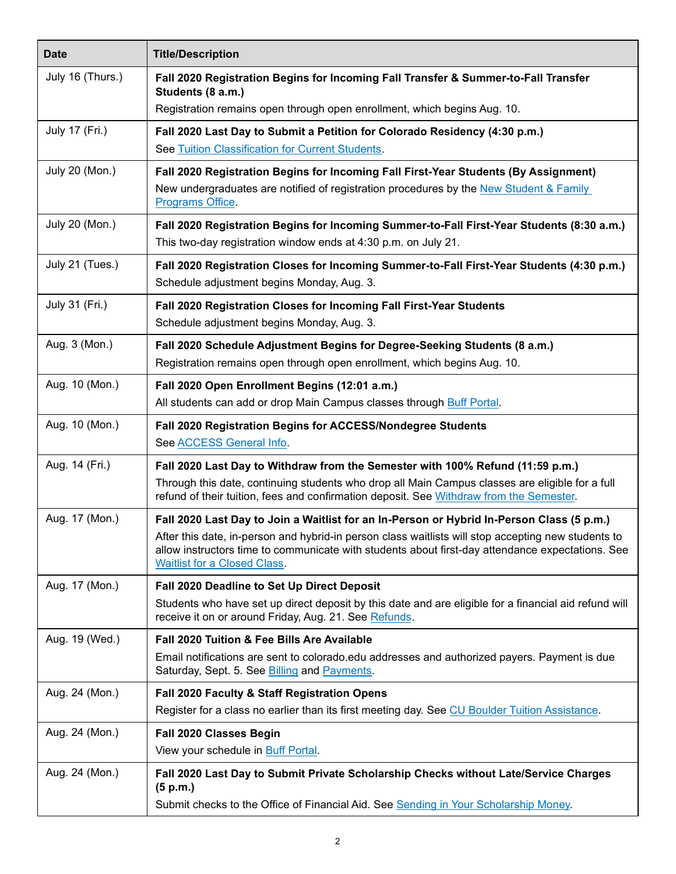| <b>Date</b>           | <b>Title/Description</b>                                                                                                                                                                                                                       |
|-----------------------|------------------------------------------------------------------------------------------------------------------------------------------------------------------------------------------------------------------------------------------------|
| July 16 (Thurs.)      | Fall 2020 Registration Begins for Incoming Fall Transfer & Summer-to-Fall Transfer                                                                                                                                                             |
|                       | Students (8 a.m.)<br>Registration remains open through open enrollment, which begins Aug. 10.                                                                                                                                                  |
| July 17 (Fri.)        | Fall 2020 Last Day to Submit a Petition for Colorado Residency (4:30 p.m.)                                                                                                                                                                     |
|                       | See Tuition Classification for Current Students.                                                                                                                                                                                               |
| <b>July 20 (Mon.)</b> | Fall 2020 Registration Begins for Incoming Fall First-Year Students (By Assignment)<br>New undergraduates are notified of registration procedures by the New Student & Family<br>Programs Office.                                              |
| <b>July 20 (Mon.)</b> | Fall 2020 Registration Begins for Incoming Summer-to-Fall First-Year Students (8:30 a.m.)<br>This two-day registration window ends at 4:30 p.m. on July 21.                                                                                    |
| July 21 (Tues.)       | Fall 2020 Registration Closes for Incoming Summer-to-Fall First-Year Students (4:30 p.m.)<br>Schedule adjustment begins Monday, Aug. 3.                                                                                                        |
| July 31 (Fri.)        | Fall 2020 Registration Closes for Incoming Fall First-Year Students<br>Schedule adjustment begins Monday, Aug. 3.                                                                                                                              |
| Aug. 3 (Mon.)         | Fall 2020 Schedule Adjustment Begins for Degree-Seeking Students (8 a.m.)<br>Registration remains open through open enrollment, which begins Aug. 10.                                                                                          |
| Aug. 10 (Mon.)        | Fall 2020 Open Enrollment Begins (12:01 a.m.)<br>All students can add or drop Main Campus classes through Buff Portal.                                                                                                                         |
| Aug. 10 (Mon.)        | Fall 2020 Registration Begins for ACCESS/Nondegree Students                                                                                                                                                                                    |
|                       | See ACCESS General Info.                                                                                                                                                                                                                       |
| Aug. 14 (Fri.)        | Fall 2020 Last Day to Withdraw from the Semester with 100% Refund (11:59 p.m.)                                                                                                                                                                 |
|                       | Through this date, continuing students who drop all Main Campus classes are eligible for a full<br>refund of their tuition, fees and confirmation deposit. See Withdraw from the Semester.                                                     |
| Aug. 17 (Mon.)        | Fall 2020 Last Day to Join a Waitlist for an In-Person or Hybrid In-Person Class (5 p.m.)                                                                                                                                                      |
|                       | After this date, in-person and hybrid-in person class waitlists will stop accepting new students to<br>allow instructors time to communicate with students about first-day attendance expectations. See<br><b>Waitlist for a Closed Class.</b> |
| Aug. 17 (Mon.)        | Fall 2020 Deadline to Set Up Direct Deposit                                                                                                                                                                                                    |
|                       | Students who have set up direct deposit by this date and are eligible for a financial aid refund will<br>receive it on or around Friday, Aug. 21. See Refunds.                                                                                 |
| Aug. 19 (Wed.)        | Fall 2020 Tuition & Fee Bills Are Available                                                                                                                                                                                                    |
|                       | Email notifications are sent to colorado.edu addresses and authorized payers. Payment is due<br>Saturday, Sept. 5. See Billing and Payments.                                                                                                   |
| Aug. 24 (Mon.)        | Fall 2020 Faculty & Staff Registration Opens                                                                                                                                                                                                   |
|                       | Register for a class no earlier than its first meeting day. See CU Boulder Tuition Assistance.                                                                                                                                                 |
| Aug. 24 (Mon.)        | Fall 2020 Classes Begin                                                                                                                                                                                                                        |
|                       | View your schedule in Buff Portal.                                                                                                                                                                                                             |
| Aug. 24 (Mon.)        | Fall 2020 Last Day to Submit Private Scholarship Checks without Late/Service Charges<br>(5 p.m.)                                                                                                                                               |
|                       | Submit checks to the Office of Financial Aid. See Sending in Your Scholarship Money.                                                                                                                                                           |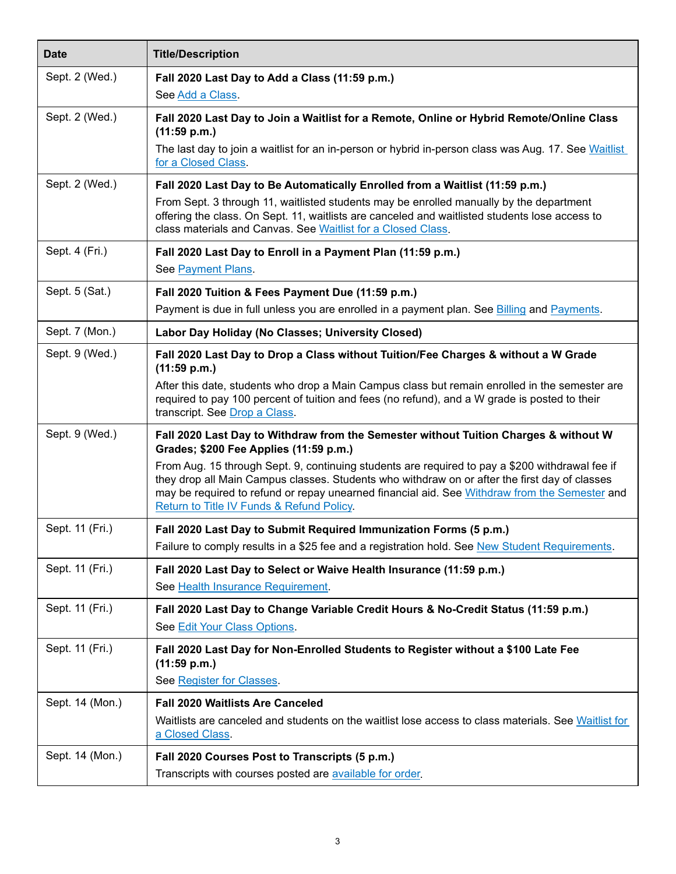| <b>Date</b>     | <b>Title/Description</b>                                                                                                                                                                                                                                                                                                                       |
|-----------------|------------------------------------------------------------------------------------------------------------------------------------------------------------------------------------------------------------------------------------------------------------------------------------------------------------------------------------------------|
| Sept. 2 (Wed.)  | Fall 2020 Last Day to Add a Class (11:59 p.m.)<br>See Add a Class.                                                                                                                                                                                                                                                                             |
| Sept. 2 (Wed.)  | Fall 2020 Last Day to Join a Waitlist for a Remote, Online or Hybrid Remote/Online Class<br>(11:59 p.m.)                                                                                                                                                                                                                                       |
|                 | The last day to join a waitlist for an in-person or hybrid in-person class was Aug. 17. See Waitlist<br>for a Closed Class.                                                                                                                                                                                                                    |
| Sept. 2 (Wed.)  | Fall 2020 Last Day to Be Automatically Enrolled from a Waitlist (11:59 p.m.)<br>From Sept. 3 through 11, waitlisted students may be enrolled manually by the department                                                                                                                                                                        |
|                 | offering the class. On Sept. 11, waitlists are canceled and waitlisted students lose access to<br>class materials and Canvas. See Waitlist for a Closed Class.                                                                                                                                                                                 |
| Sept. 4 (Fri.)  | Fall 2020 Last Day to Enroll in a Payment Plan (11:59 p.m.)<br>See Payment Plans.                                                                                                                                                                                                                                                              |
|                 |                                                                                                                                                                                                                                                                                                                                                |
| Sept. 5 (Sat.)  | Fall 2020 Tuition & Fees Payment Due (11:59 p.m.)<br>Payment is due in full unless you are enrolled in a payment plan. See Billing and Payments.                                                                                                                                                                                               |
| Sept. 7 (Mon.)  | Labor Day Holiday (No Classes; University Closed)                                                                                                                                                                                                                                                                                              |
| Sept. 9 (Wed.)  | Fall 2020 Last Day to Drop a Class without Tuition/Fee Charges & without a W Grade<br>(11:59 p.m.)                                                                                                                                                                                                                                             |
|                 | After this date, students who drop a Main Campus class but remain enrolled in the semester are<br>required to pay 100 percent of tuition and fees (no refund), and a W grade is posted to their<br>transcript. See Drop a Class.                                                                                                               |
| Sept. 9 (Wed.)  | Fall 2020 Last Day to Withdraw from the Semester without Tuition Charges & without W<br>Grades; \$200 Fee Applies (11:59 p.m.)                                                                                                                                                                                                                 |
|                 | From Aug. 15 through Sept. 9, continuing students are required to pay a \$200 withdrawal fee if<br>they drop all Main Campus classes. Students who withdraw on or after the first day of classes<br>may be required to refund or repay unearned financial aid. See Withdraw from the Semester and<br>Return to Title IV Funds & Refund Policy. |
| Sept. 11 (Fri.) | Fall 2020 Last Day to Submit Required Immunization Forms (5 p.m.)<br>Failure to comply results in a \$25 fee and a registration hold. See New Student Requirements.                                                                                                                                                                            |
| Sept. 11 (Fri.) | Fall 2020 Last Day to Select or Waive Health Insurance (11:59 p.m.)<br>See Health Insurance Requirement.                                                                                                                                                                                                                                       |
| Sept. 11 (Fri.) | Fall 2020 Last Day to Change Variable Credit Hours & No-Credit Status (11:59 p.m.)<br>See Edit Your Class Options.                                                                                                                                                                                                                             |
| Sept. 11 (Fri.) | Fall 2020 Last Day for Non-Enrolled Students to Register without a \$100 Late Fee<br>(11:59 p.m.)                                                                                                                                                                                                                                              |
|                 | See Register for Classes.                                                                                                                                                                                                                                                                                                                      |
| Sept. 14 (Mon.) | <b>Fall 2020 Waitlists Are Canceled</b>                                                                                                                                                                                                                                                                                                        |
|                 | Waitlists are canceled and students on the waitlist lose access to class materials. See Waitlist for<br>a Closed Class.                                                                                                                                                                                                                        |
| Sept. 14 (Mon.) | Fall 2020 Courses Post to Transcripts (5 p.m.)                                                                                                                                                                                                                                                                                                 |
|                 | Transcripts with courses posted are available for order.                                                                                                                                                                                                                                                                                       |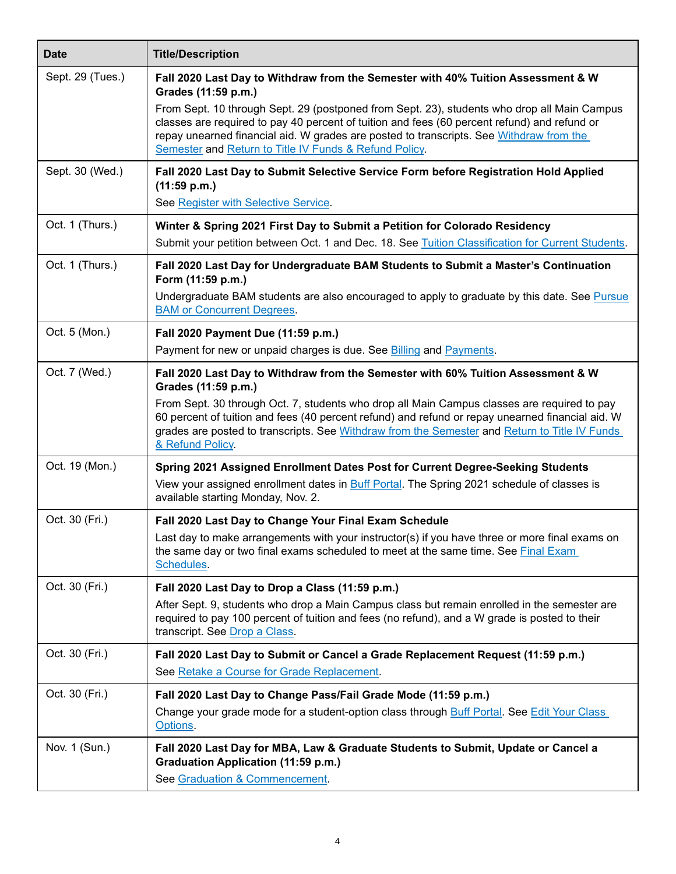| <b>Date</b>      | <b>Title/Description</b>                                                                                                                                                                                                                                                                                                                                                                                                                                    |
|------------------|-------------------------------------------------------------------------------------------------------------------------------------------------------------------------------------------------------------------------------------------------------------------------------------------------------------------------------------------------------------------------------------------------------------------------------------------------------------|
| Sept. 29 (Tues.) | Fall 2020 Last Day to Withdraw from the Semester with 40% Tuition Assessment & W<br>Grades (11:59 p.m.)<br>From Sept. 10 through Sept. 29 (postponed from Sept. 23), students who drop all Main Campus<br>classes are required to pay 40 percent of tuition and fees (60 percent refund) and refund or<br>repay unearned financial aid. W grades are posted to transcripts. See Withdraw from the<br>Semester and Return to Title IV Funds & Refund Policy. |
| Sept. 30 (Wed.)  | Fall 2020 Last Day to Submit Selective Service Form before Registration Hold Applied<br>(11:59 p.m.)<br>See Register with Selective Service.                                                                                                                                                                                                                                                                                                                |
| Oct. 1 (Thurs.)  | Winter & Spring 2021 First Day to Submit a Petition for Colorado Residency<br>Submit your petition between Oct. 1 and Dec. 18. See Tuition Classification for Current Students.                                                                                                                                                                                                                                                                             |
| Oct. 1 (Thurs.)  | Fall 2020 Last Day for Undergraduate BAM Students to Submit a Master's Continuation<br>Form (11:59 p.m.)<br>Undergraduate BAM students are also encouraged to apply to graduate by this date. See Pursue<br><b>BAM or Concurrent Degrees.</b>                                                                                                                                                                                                               |
| Oct. 5 (Mon.)    | Fall 2020 Payment Due (11:59 p.m.)<br>Payment for new or unpaid charges is due. See Billing and Payments.                                                                                                                                                                                                                                                                                                                                                   |
| Oct. 7 (Wed.)    | Fall 2020 Last Day to Withdraw from the Semester with 60% Tuition Assessment & W<br>Grades (11:59 p.m.)<br>From Sept. 30 through Oct. 7, students who drop all Main Campus classes are required to pay<br>60 percent of tuition and fees (40 percent refund) and refund or repay unearned financial aid. W<br>grades are posted to transcripts. See Withdraw from the Semester and Return to Title IV Funds<br>& Refund Policy.                             |
| Oct. 19 (Mon.)   | Spring 2021 Assigned Enrollment Dates Post for Current Degree-Seeking Students<br>View your assigned enrollment dates in Buff Portal. The Spring 2021 schedule of classes is<br>available starting Monday, Nov. 2.                                                                                                                                                                                                                                          |
| Oct. 30 (Fri.)   | Fall 2020 Last Day to Change Your Final Exam Schedule<br>Last day to make arrangements with your instructor(s) if you have three or more final exams on<br>the same day or two final exams scheduled to meet at the same time. See Final Exam<br>Schedules.                                                                                                                                                                                                 |
| Oct. 30 (Fri.)   | Fall 2020 Last Day to Drop a Class (11:59 p.m.)<br>After Sept. 9, students who drop a Main Campus class but remain enrolled in the semester are<br>required to pay 100 percent of tuition and fees (no refund), and a W grade is posted to their<br>transcript. See Drop a Class.                                                                                                                                                                           |
| Oct. 30 (Fri.)   | Fall 2020 Last Day to Submit or Cancel a Grade Replacement Request (11:59 p.m.)<br>See Retake a Course for Grade Replacement.                                                                                                                                                                                                                                                                                                                               |
| Oct. 30 (Fri.)   | Fall 2020 Last Day to Change Pass/Fail Grade Mode (11:59 p.m.)<br>Change your grade mode for a student-option class through Buff Portal. See Edit Your Class<br>Options.                                                                                                                                                                                                                                                                                    |
| Nov. 1 (Sun.)    | Fall 2020 Last Day for MBA, Law & Graduate Students to Submit, Update or Cancel a<br>Graduation Application (11:59 p.m.)<br>See Graduation & Commencement.                                                                                                                                                                                                                                                                                                  |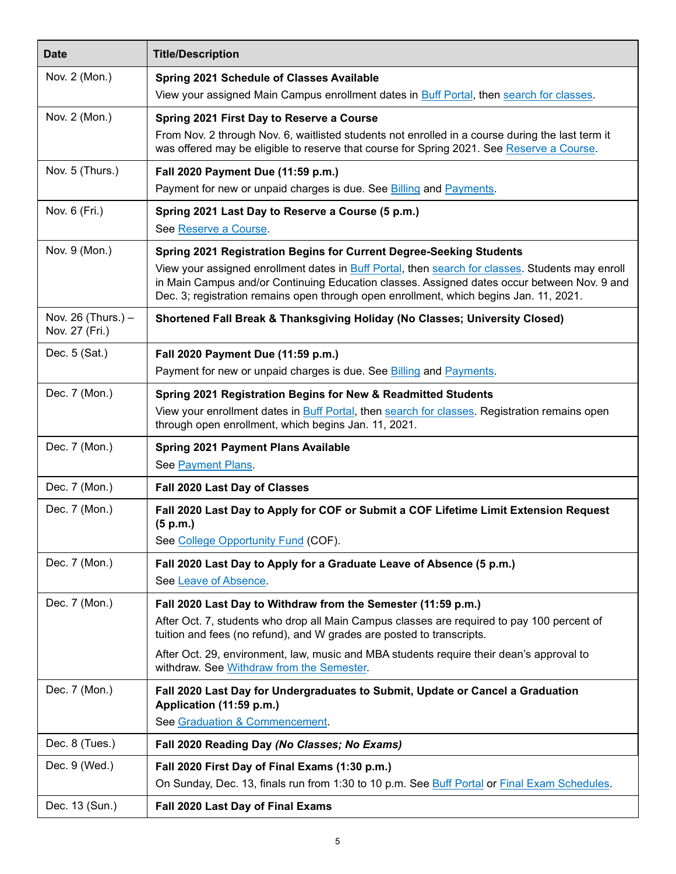| <b>Date</b>                            | <b>Title/Description</b>                                                                                                                                                                                                                                                                  |
|----------------------------------------|-------------------------------------------------------------------------------------------------------------------------------------------------------------------------------------------------------------------------------------------------------------------------------------------|
| Nov. 2 (Mon.)                          | Spring 2021 Schedule of Classes Available                                                                                                                                                                                                                                                 |
|                                        | View your assigned Main Campus enrollment dates in <b>Buff Portal</b> , then search for classes.                                                                                                                                                                                          |
| Nov. 2 (Mon.)                          | Spring 2021 First Day to Reserve a Course                                                                                                                                                                                                                                                 |
|                                        | From Nov. 2 through Nov. 6, waitlisted students not enrolled in a course during the last term it<br>was offered may be eligible to reserve that course for Spring 2021. See Reserve a Course.                                                                                             |
| Nov. 5 (Thurs.)                        | Fall 2020 Payment Due (11:59 p.m.)<br>Payment for new or unpaid charges is due. See <b>Billing and Payments</b> .                                                                                                                                                                         |
| Nov. 6 (Fri.)                          | Spring 2021 Last Day to Reserve a Course (5 p.m.)<br>See Reserve a Course.                                                                                                                                                                                                                |
| Nov. 9 (Mon.)                          | Spring 2021 Registration Begins for Current Degree-Seeking Students                                                                                                                                                                                                                       |
|                                        | View your assigned enrollment dates in Buff Portal, then search for classes. Students may enroll<br>in Main Campus and/or Continuing Education classes. Assigned dates occur between Nov. 9 and<br>Dec. 3; registration remains open through open enrollment, which begins Jan. 11, 2021. |
| Nov. 26 (Thurs.) $-$<br>Nov. 27 (Fri.) | <b>Shortened Fall Break &amp; Thanksgiving Holiday (No Classes; University Closed)</b>                                                                                                                                                                                                    |
| Dec. 5 (Sat.)                          | Fall 2020 Payment Due (11:59 p.m.)                                                                                                                                                                                                                                                        |
|                                        | Payment for new or unpaid charges is due. See Billing and Payments.                                                                                                                                                                                                                       |
| Dec. 7 (Mon.)                          | Spring 2021 Registration Begins for New & Readmitted Students                                                                                                                                                                                                                             |
|                                        | View your enrollment dates in Buff Portal, then search for classes. Registration remains open<br>through open enrollment, which begins Jan. 11, 2021.                                                                                                                                     |
| Dec. 7 (Mon.)                          | <b>Spring 2021 Payment Plans Available</b>                                                                                                                                                                                                                                                |
|                                        | See Payment Plans.                                                                                                                                                                                                                                                                        |
| Dec. 7 (Mon.)                          | Fall 2020 Last Day of Classes                                                                                                                                                                                                                                                             |
| Dec. 7 (Mon.)                          | Fall 2020 Last Day to Apply for COF or Submit a COF Lifetime Limit Extension Request<br>(5 p.m.)                                                                                                                                                                                          |
|                                        | See College Opportunity Fund (COF).                                                                                                                                                                                                                                                       |
| Dec. 7 (Mon.)                          | Fall 2020 Last Day to Apply for a Graduate Leave of Absence (5 p.m.)<br>See Leave of Absence.                                                                                                                                                                                             |
| Dec. 7 (Mon.)                          | Fall 2020 Last Day to Withdraw from the Semester (11:59 p.m.)                                                                                                                                                                                                                             |
|                                        | After Oct. 7, students who drop all Main Campus classes are required to pay 100 percent of<br>tuition and fees (no refund), and W grades are posted to transcripts.                                                                                                                       |
|                                        | After Oct. 29, environment, law, music and MBA students require their dean's approval to<br>withdraw. See Withdraw from the Semester.                                                                                                                                                     |
| Dec. 7 (Mon.)                          | Fall 2020 Last Day for Undergraduates to Submit, Update or Cancel a Graduation<br>Application (11:59 p.m.)                                                                                                                                                                                |
|                                        | See Graduation & Commencement.                                                                                                                                                                                                                                                            |
| Dec. 8 (Tues.)                         | Fall 2020 Reading Day (No Classes; No Exams)                                                                                                                                                                                                                                              |
| Dec. 9 (Wed.)                          | Fall 2020 First Day of Final Exams (1:30 p.m.)                                                                                                                                                                                                                                            |
|                                        | On Sunday, Dec. 13, finals run from 1:30 to 10 p.m. See Buff Portal or Final Exam Schedules.                                                                                                                                                                                              |
| Dec. 13 (Sun.)                         | Fall 2020 Last Day of Final Exams                                                                                                                                                                                                                                                         |